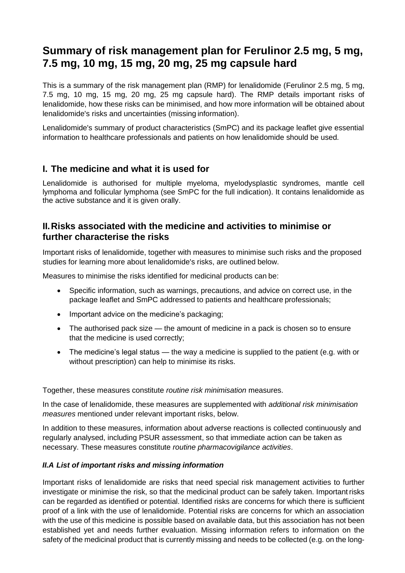# **Summary of risk management plan for Ferulinor 2.5 mg, 5 mg, 7.5 mg, 10 mg, 15 mg, 20 mg, 25 mg capsule hard**

This is a summary of the risk management plan (RMP) for lenalidomide (Ferulinor 2.5 mg, 5 mg, 7.5 mg, 10 mg, 15 mg, 20 mg, 25 mg capsule hard). The RMP details important risks of lenalidomide, how these risks can be minimised, and how more information will be obtained about lenalidomide's risks and uncertainties (missing information).

Lenalidomide's summary of product characteristics (SmPC) and its package leaflet give essential information to healthcare professionals and patients on how lenalidomide should be used.

## **I. The medicine and what it is used for**

Lenalidomide is authorised for multiple myeloma, myelodysplastic syndromes, mantle cell lymphoma and follicular lymphoma (see SmPC for the full indication). It contains lenalidomide as the active substance and it is given orally.

### **II.Risks associated with the medicine and activities to minimise or further characterise the risks**

Important risks of lenalidomide, together with measures to minimise such risks and the proposed studies for learning more about lenalidomide's risks, are outlined below.

Measures to minimise the risks identified for medicinal products can be:

- Specific information, such as warnings, precautions, and advice on correct use, in the package leaflet and SmPC addressed to patients and healthcare professionals;
- Important advice on the medicine's packaging;
- The authorised pack size the amount of medicine in a pack is chosen so to ensure that the medicine is used correctly;
- The medicine's legal status the way a medicine is supplied to the patient (e.g. with or without prescription) can help to minimise its risks.

Together, these measures constitute *routine risk minimisation* measures.

In the case of lenalidomide, these measures are supplemented with *additional risk minimisation measures* mentioned under relevant important risks, below.

In addition to these measures, information about adverse reactions is collected continuously and regularly analysed, including PSUR assessment, so that immediate action can be taken as necessary. These measures constitute *routine pharmacovigilance activities*.

#### *II.A List of important risks and missing information*

Important risks of lenalidomide are risks that need special risk management activities to further investigate or minimise the risk, so that the medicinal product can be safely taken. Important risks can be regarded as identified or potential. Identified risks are concerns for which there is sufficient proof of a link with the use of lenalidomide. Potential risks are concerns for which an association with the use of this medicine is possible based on available data, but this association has not been established yet and needs further evaluation. Missing information refers to information on the safety of the medicinal product that is currently missing and needs to be collected (e.g. on the long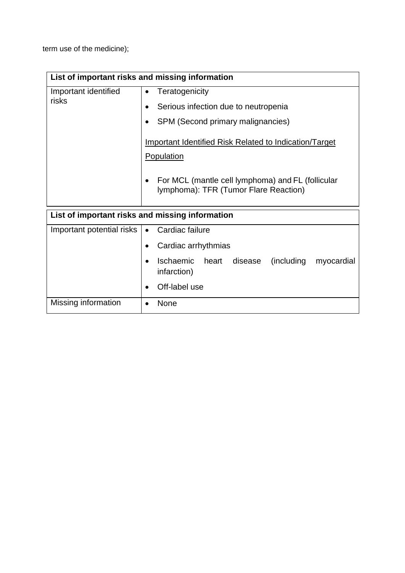term use of the medicine);

| List of important risks and missing information |                                                                                                                                                                            |  |
|-------------------------------------------------|----------------------------------------------------------------------------------------------------------------------------------------------------------------------------|--|
| Important identified<br>risks                   | Teratogenicity<br>Serious infection due to neutropenia<br>SPM (Second primary malignancies)<br><b>Important Identified Risk Related to Indication/Target</b><br>Population |  |
|                                                 | For MCL (mantle cell lymphoma) and FL (follicular<br>lymphoma): TFR (Tumor Flare Reaction)                                                                                 |  |
| List of important risks and missing information |                                                                                                                                                                            |  |
| Important potential risks                       | Cardiac failure<br>Cardiac arrhythmias<br>Ischaemic<br>heart<br>disease<br>(including<br>myocardial<br>infarction)<br>Off-label use                                        |  |
| Missing information                             | <b>None</b><br>٠                                                                                                                                                           |  |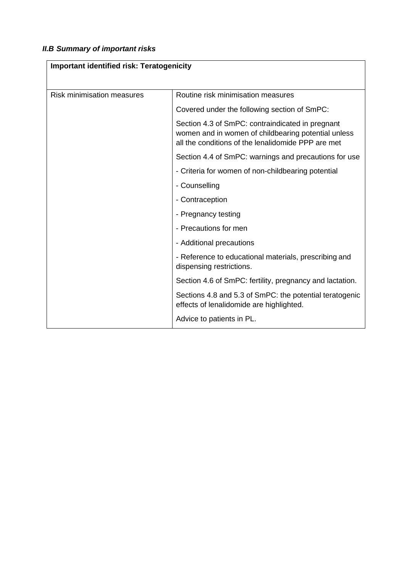## *II.B Summary of important risks*

| <b>Important identified risk: Teratogenicity</b> |                                                                                                                                                               |  |
|--------------------------------------------------|---------------------------------------------------------------------------------------------------------------------------------------------------------------|--|
| <b>Risk minimisation measures</b>                | Routine risk minimisation measures                                                                                                                            |  |
|                                                  | Covered under the following section of SmPC:                                                                                                                  |  |
|                                                  | Section 4.3 of SmPC: contraindicated in pregnant<br>women and in women of childbearing potential unless<br>all the conditions of the lenalidomide PPP are met |  |
|                                                  | Section 4.4 of SmPC: warnings and precautions for use                                                                                                         |  |
|                                                  | - Criteria for women of non-childbearing potential                                                                                                            |  |
|                                                  | - Counselling                                                                                                                                                 |  |
|                                                  | - Contraception                                                                                                                                               |  |
|                                                  | - Pregnancy testing                                                                                                                                           |  |
|                                                  | - Precautions for men                                                                                                                                         |  |
|                                                  | - Additional precautions                                                                                                                                      |  |
|                                                  | - Reference to educational materials, prescribing and<br>dispensing restrictions.                                                                             |  |
|                                                  | Section 4.6 of SmPC: fertility, pregnancy and lactation.                                                                                                      |  |
|                                                  | Sections 4.8 and 5.3 of SmPC: the potential teratogenic<br>effects of lenalidomide are highlighted.                                                           |  |
|                                                  | Advice to patients in PL.                                                                                                                                     |  |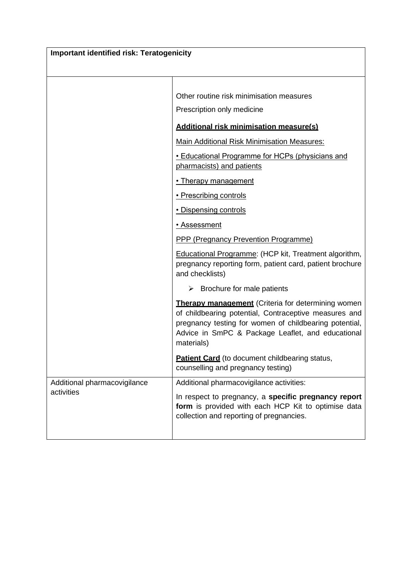| <b>Important identified risk: Teratogenicity</b> |                                                                                                                                                                                                                                                 |  |
|--------------------------------------------------|-------------------------------------------------------------------------------------------------------------------------------------------------------------------------------------------------------------------------------------------------|--|
|                                                  |                                                                                                                                                                                                                                                 |  |
|                                                  | Other routine risk minimisation measures<br>Prescription only medicine                                                                                                                                                                          |  |
|                                                  | <b>Additional risk minimisation measure(s)</b>                                                                                                                                                                                                  |  |
|                                                  | Main Additional Risk Minimisation Measures:                                                                                                                                                                                                     |  |
|                                                  | • Educational Programme for HCPs (physicians and<br>pharmacists) and patients                                                                                                                                                                   |  |
|                                                  | • Therapy management                                                                                                                                                                                                                            |  |
|                                                  | · Prescribing controls                                                                                                                                                                                                                          |  |
|                                                  | • Dispensing controls                                                                                                                                                                                                                           |  |
|                                                  | • Assessment                                                                                                                                                                                                                                    |  |
|                                                  | <b>PPP (Pregnancy Prevention Programme)</b>                                                                                                                                                                                                     |  |
|                                                  | <b>Educational Programme: (HCP kit, Treatment algorithm,</b><br>pregnancy reporting form, patient card, patient brochure<br>and checklists)                                                                                                     |  |
|                                                  | $\triangleright$ Brochure for male patients                                                                                                                                                                                                     |  |
|                                                  | <b>Therapy management</b> (Criteria for determining women<br>of childbearing potential, Contraceptive measures and<br>pregnancy testing for women of childbearing potential,<br>Advice in SmPC & Package Leaflet, and educational<br>materials) |  |
|                                                  | <b>Patient Card</b> (to document childbearing status,<br>counselling and pregnancy testing)                                                                                                                                                     |  |
| Additional pharmacovigilance                     | Additional pharmacovigilance activities:                                                                                                                                                                                                        |  |
| activities                                       | In respect to pregnancy, a specific pregnancy report<br>form is provided with each HCP Kit to optimise data<br>collection and reporting of pregnancies.                                                                                         |  |
|                                                  |                                                                                                                                                                                                                                                 |  |